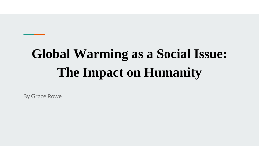# **Global Warming as a Social Issue: The Impact on Humanity**

By Grace Rowe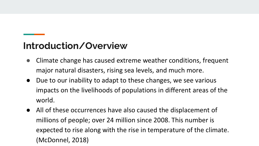#### **Introduction/Overview**

- Climate change has caused extreme weather conditions, frequent major natural disasters, rising sea levels, and much more.
- Due to our inability to adapt to these changes, we see various impacts on the livelihoods of populations in different areas of the world.
- All of these occurrences have also caused the displacement of millions of people; over 24 million since 2008. This number is expected to rise along with the rise in temperature of the climate. (McDonnel, 2018)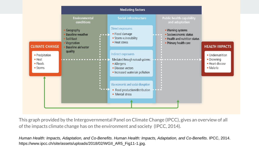

This graph provided by the Intergovernmental Panel on Climate Change (IPCC), gives an overview of all of the impacts climate change has on the environment and society (IPCC, 2014).

*Human Health: Impacts, Adaptation, and Co-Benefits*. *Human Health: Impacts, Adaptation, and Co-Benefits*. IPCC, 2014. https://www.ipcc.ch/site/assets/uploads/2018/02/WGII\_AR5\_Fig11-1.jpg.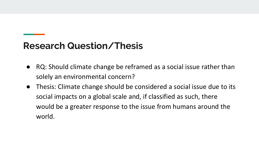#### **Research Question/Thesis**

- RQ: Should climate change be reframed as a social issue rather than solely an environmental concern?
- Thesis: Climate change should be considered a social issue due to its social impacts on a global scale and, if classified as such, there would be a greater response to the issue from humans around the world.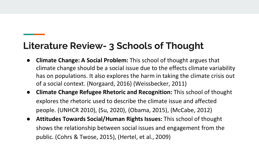### **Literature Review- 3 Schools of Thought**

- **Climate Change: A Social Problem:** This school of thought argues that climate change should be a social issue due to the effects climate variability has on populations. It also explores the harm in taking the climate crisis out of a social context. (Norgaard, 2016) (Weissbecker, 2011)
- **Climate Change Refugee Rhetoric and Recognition:** This school of thought explores the rhetoric used to describe the climate issue and affected people. (UNHCR 2010), (Su, 2020), (Obama, 2015), (McCabe, 2012)
- **Attitudes Towards Social/Human Rights Issues:** This school of thought shows the relationship between social issues and engagement from the public. (Cohrs & Twose, 2015), (Hertel, et al., 2009)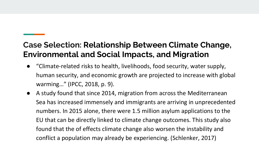#### **Case Selection: Relationship Between Climate Change, Environmental and Social Impacts, and Migration**

- "Climate-related risks to health, livelihoods, food security, water supply, human security, and economic growth are projected to increase with global warming…" (IPCC, 2018, p. 9).
- A study found that since 2014, migration from across the Mediterranean Sea has increased immensely and immigrants are arriving in unprecedented numbers. In 2015 alone, there were 1.5 million asylum applications to the EU that can be directly linked to climate change outcomes. This study also found that the of effects climate change also worsen the instability and conflict a population may already be experiencing. (Schlenker, 2017)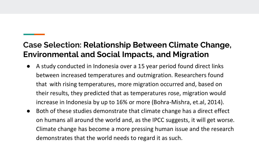#### **Case Selection: Relationship Between Climate Change, Environmental and Social Impacts, and Migration**

- A study conducted in Indonesia over a 15 year period found direct links between increased temperatures and outmigration. Researchers found that with rising temperatures, more migration occurred and, based on their results, they predicted that as temperatures rose, migration would increase in Indonesia by up to 16% or more (Bohra-Mishra, et.al, 2014).
- Both of these studies demonstrate that climate change has a direct effect on humans all around the world and, as the IPCC suggests, it will get worse. Climate change has become a more pressing human issue and the research demonstrates that the world needs to regard it as such.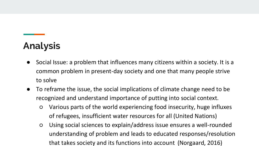## **Analysis**

- Social Issue: a problem that influences many citizens within a society. It is a common problem in present-day society and one that many people strive to solve
- To reframe the issue, the social implications of climate change need to be recognized and understand importance of putting into social context.
	- Various parts of the world experiencing food insecurity, huge influxes of refugees, insufficient water resources for all (United Nations)
	- Using social sciences to explain/address issue ensures a well-rounded understanding of problem and leads to educated responses/resolution that takes society and its functions into account (Norgaard, 2016)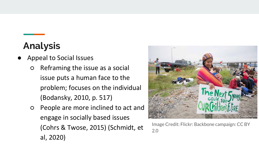## **Analysis**

- Appeal to Social Issues
	- Reframing the issue as a social issue puts a human face to the problem; focuses on the individual (Bodansky, 2010, p. 517)
	- People are more inclined to act and engage in socially based issues (Cohrs & Twose, 2015) (Schmidt, et al, 2020)



Image Credit: Flickr: Backbone campaign: CC BY 2.0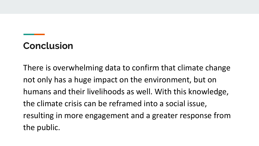### **Conclusion**

There is overwhelming data to confirm that climate change not only has a huge impact on the environment, but on humans and their livelihoods as well. With this knowledge, the climate crisis can be reframed into a social issue, resulting in more engagement and a greater response from the public.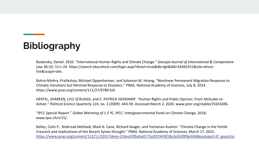Bodansky, Daniel. 2010. "International Human Rights and Climate Change." *Georgia Journal of International & Comparative Law* 38 (3): 511–24. https://search.ebscohost.com/login.aspx?direct=true&db=lgh&AN=54492351&site=ehostlive&scope=site.

Bohra-Mishra, Pratikshya, Michael Oppenheimer, and Solomon M. Hsiang. "Nonlinear Permanent Migration Response to Climatic Variations but Minimal Response to Disasters." PNAS. National Academy of Sciences, July 8, 2014. https://www.pnas.org/content/111/27/9780.full.

HERTEL, SHAREEN, LYLE SCRUGGS, and C. PATRICK HEIDKAMP. "Human Rights and Public Opinion: From Attitudes to Action." *Political Science Quarterly* 124, no. 3 (2009): 443-59. Accessed March 2, 2020. www.jstor.org/stable/25655696.

"IPCC Special Report." *Global Warming of 1.5 ºC*, IPCC: Intergovernmental Panel on Climate Change, 2018, www.ipcc.ch/sr15/.

Kelley, Colin P., Shahrzad Mohtadi, Mark A. Cane, Richard Seager, and Yochanan Kushnir. "Climate Change in the Fertile Crescent and Implications of the Recent Syrian Drought." PNAS. National Academy of Sciences, March 17, 2015. [https://www.pnas.org/content/112/11/3241?ijkey=316ea59fba5e0175a291943818e3c6faf8fde506&keytype2=tf\\_ipsecsha](https://www.pnas.org/content/112/11/3241?ijkey=316ea59fba5e0175a291943818e3c6faf8fde506&keytype2=tf_ipsecsha).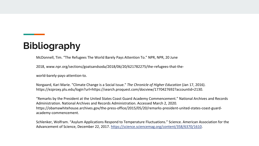McDonnell, Tim. "The Refugees The World Barely Pays Attention To." NPR, NPR, 20 June

2018, www.npr.org/sections/goatsandsoda/2018/06/20/621782275/the-refugees-that-the-

world-barely-pays-attention-to.

Norgaard, Kari Marie. "Climate Change is a Social Issue." *The Chronicle of Higher Education* (Jan 17, 2016). https://ezproxy.plu.edu/login?url=https://search.proquest.com/docview/1770427692?accountid=2130.

"Remarks by the President at the United States Coast Guard Academy Commencement." National Archives and Records Administration. National Archives and Records Administration. Accessed March 2, 2020. https://obamawhitehouse.archives.gov/the-press-office/2015/05/20/remarks-president-united-states-coast-guardacademy-commencement.

Schlenker, Wolfram. "Asylum Applications Respond to Temperature Fluctuations." Science. American Association for the Advancement of Science, December 22, 2017. [https://science.sciencemag.org/content/358/6370/1610.](https://science.sciencemag.org/content/358/6370/1610)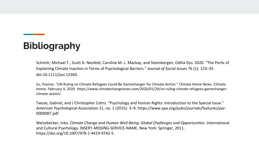Schmitt, Michael T., Scott D. Neufeld, Caroline M. L. Mackay, and Steenbergen, Odilia Dys. 2020. "The Perils of Explaining Climate Inaction in Terms of Psychological Barriers." *Journal of Social Issues* 76 (1): 123–35. doi:10.1111/josi.12360.

Su, Yvonne. "UN Ruling on Climate Refugees Could Be Gamechanger for Climate Action." Climate Home News. Climate Home, February 4, 2020. https://www.climatechangenews.com/2020/01/29/un-ruling-climate-refugees-gamechangerclimate-action/.

Twose, Gabriel, and J Christopher Cohrs. "Psychology and Human Rights: Introduction to the Special Issue." *American Psychological Association* 21, no. 1 (2015): 3–9. https://www.apa.org/pubs/journals/features/pac-0000087.pdf.

Weissbecker, Inka. *Climate Change and Human Well-Being: Global Challenges and Opportunities*. International and Cultural Psychology. INSERT-MISSING-SERVICE-NAME. New York: Springer, 2011. https://doi.org/10.1007/978-1-4419-9742-5.